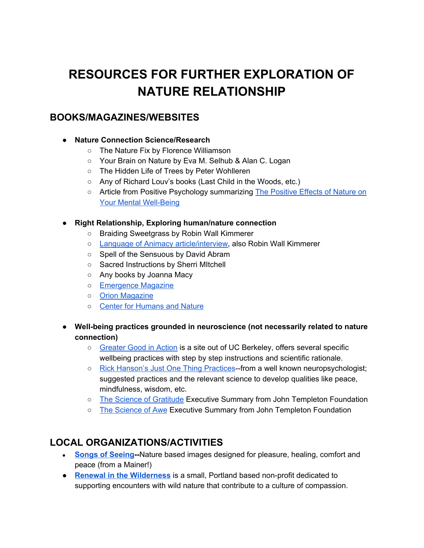# **RESOURCES FOR FURTHER EXPLORATION OF NATURE RELATIONSHIP**

### **BOOKS/MAGAZINES/WEBSITES**

#### **● Nature Connection Science/Research**

- The Nature Fix by Florence Williamson
- Your Brain on Nature by Eva M. Selhub & Alan C. Logan
- The Hidden Life of Trees by Peter Wohlleren
- Any of Richard Louv's books (Last Child in the Woods, etc.)
- Article from Positive Psychology summarizing The [Positive](https://positivepsychology.com/positive-effects-of-nature/) Effects of Nature on Your Mental [Well-Being](https://positivepsychology.com/positive-effects-of-nature/)

#### **● Right Relationship, Exploring human/nature connection**

- Braiding Sweetgrass by Robin Wall Kimmerer
- o Language of Animacy [article/interview](https://orionmagazine.org/article/robin-wall-kimmerer-language-animacy/), also Robin Wall Kimmerer
- Spell of the Sensuous by David Abram
- Sacred Instructions by Sherri MItchell
- Any books by Joanna Macy
- [Emergence](https://emergencemagazine.org/) Magazine
- Orion [Magazine](https://orionmagazine.org/)
- Center for [Humans](https://www.humansandnature.org/) and Nature
- **● Well-being practices grounded in neuroscience (not necessarily related to nature connection)**
	- [Greater](https://ggia.berkeley.edu/) Good in Action is a site out of UC Berkeley, offers several specific wellbeing practices with step by step instructions and scientific rationale.
	- Rick [Hanson's](https://www.rickhanson.net/writings/just-one-thing/just-one-thing-simple-practices/) Just One Thing Practices--from a well known neuropsychologist; suggested practices and the relevant science to develop qualities like peace, mindfulness, wisdom, etc.
	- The Science of [Gratitude](https://ggsc.berkeley.edu/images/uploads/GGSC-JTF_White_Paper-Gratitude-FINAL.pdf) Executive Summary from John Templeton Foundation
	- The [Science](https://ggsc.berkeley.edu/images/uploads/GGSC-JTF_White_Paper-Awe_FINAL.pdf) of Awe Executive Summary from John Templeton Foundation

# **LOCAL ORGANIZATIONS/ACTIVITIES**

- **● Songs of [Seeing](https://www.songsofseeing.com/)--**Nature based images designed for pleasure, healing, comfort and peace (from a Mainer!)
- **● Renewal in the [Wilderness](http://www.renewalinthewilderness.org/)** is a small, Portland based non-profit dedicated to supporting encounters with wild nature that contribute to a culture of compassion.